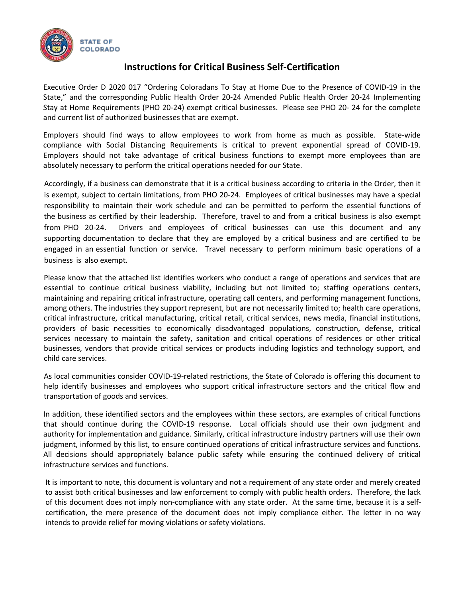

## **Instructions for Critical Business Self-Certification**

Executive Order D 2020 017 "Ordering Coloradans To Stay at Home Due to the Presence of COVID-19 in the State," and the corresponding Public Health Order 20-24 Amended Public Health Order 20-24 Implementing Stay at Home Requirements (PHO 20-24) exempt critical businesses. Please see PHO 20- 24 for the complete and current list of authorized businesses that are exempt.

Employers should find ways to allow employees to work from home as much as possible. State-wide compliance with Social Distancing Requirements is critical to prevent exponential spread of COVID-19. Employers should not take advantage of critical business functions to exempt more employees than are absolutely necessary to perform the critical operations needed for our State.

Accordingly, if a business can demonstrate that it is a critical business according to criteria in the Order, then it is exempt, subject to certain limitations, from PHO 20-24. Employees of critical businesses may have a special responsibility to maintain their work schedule and can be permitted to perform the essential functions of the business as certified by their leadership. Therefore, travel to and from a critical business is also exempt from PHO 20-24. Drivers and employees of critical businesses can use this document and any supporting documentation to declare that they are employed by a critical business and are certified to be engaged in an essential function or service. Travel necessary to perform minimum basic operations of a business is also exempt.

Please know that the attached list identifies workers who conduct a range of operations and services that are essential to continue critical business viability, including but not limited to; staffing operations centers, maintaining and repairing critical infrastructure, operating call centers, and performing management functions, among others. The industries they support represent, but are not necessarily limited to; health care operations, critical infrastructure, critical manufacturing, critical retail, critical services, news media, financial institutions, providers of basic necessities to economically disadvantaged populations, construction, defense, critical services necessary to maintain the safety, sanitation and critical operations of residences or other critical businesses, vendors that provide critical services or products including logistics and technology support, and child care services.

As local communities consider COVID-19-related restrictions, the State of Colorado is offering this document to help identify businesses and employees who support critical infrastructure sectors and the critical flow and transportation of goods and services.

In addition, these identified sectors and the employees within these sectors, are examples of critical functions that should continue during the COVID-19 response. Local officials should use their own judgment and authority for implementation and guidance. Similarly, critical infrastructure industry partners will use their own judgment, informed by this list, to ensure continued operations of critical infrastructure services and functions. All decisions should appropriately balance public safety while ensuring the continued delivery of critical infrastructure services and functions.

It is important to note, this document is voluntary and not a requirement of any state order and merely created to assist both critical businesses and law enforcement to comply with public health orders. Therefore, the lack of this document does not imply non-compliance with any state order. At the same time, because it is a selfcertification, the mere presence of the document does not imply compliance either. The letter in no way intends to provide relief for moving violations or safety violations.